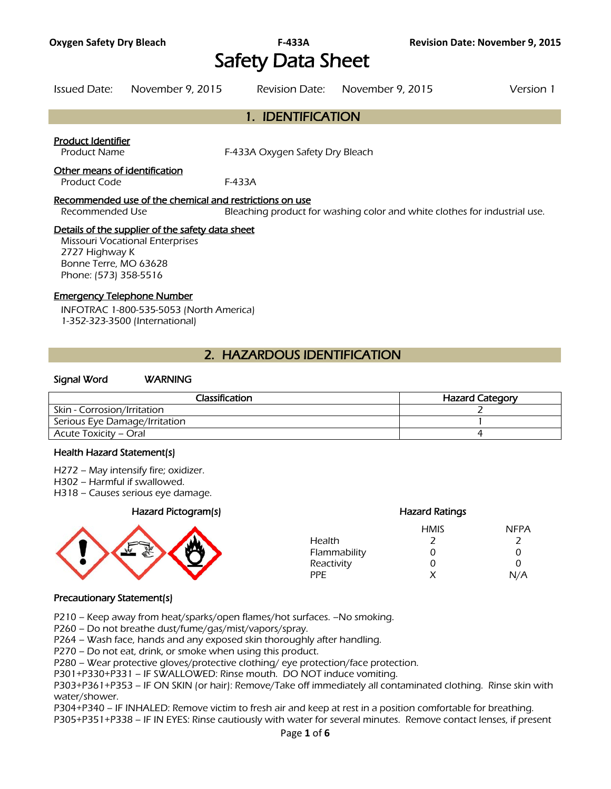# **Oxygen Safety Dry Bleach F-433A Revision Date: November 9, 2015**  Safety Data Sheet

Issued Date: November 9, 2015 Revision Date: November 9, 2015 Version 1

# 1. IDENTIFICATION

### Product Identifier

Product Name **F-433A Oxygen Safety Dry Bleach** 

### Other means of identification

Product Code F-433A

### Recommended use of the chemical and restrictions on use

Recommended Use Bleaching product for washing color and white clothes for industrial use.

# Details of the supplier of the safety data sheet

Missouri Vocational Enterprises 2727 Highway K Bonne Terre, MO 63628 Phone: (573) 358-5516

# Emergency Telephone Number

INFOTRAC 1-800-535-5053 (North America) 1-352-323-3500 (International)

# 2. HAZARDOUS IDENTIFICATION

# Signal Word WARNING

| Classification                | <b>Hazard Category</b> |
|-------------------------------|------------------------|
| Skin - Corrosion/Irritation   |                        |
| Serious Eye Damage/Irritation |                        |
| Acute Toxicity – Oral         |                        |
|                               |                        |

#### Health Hazard Statement(s)

- H272 May intensify fire; oxidizer.
- H302 Harmful if swallowed.
- H318 Causes serious eye damage.

# Hazard Pictogram(s) Hazard Ratings



|              | <b>HMIS</b> | <b>NFPA</b> |
|--------------|-------------|-------------|
| Health       |             |             |
| Flammability | O           | 0           |
| Reactivity   | O           | O           |
| PPF          | x           | N/A         |

#### Precautionary Statement(s)

P210 – Keep away from heat/sparks/open flames/hot surfaces. –No smoking.

P260 – Do not breathe dust/fume/gas/mist/vapors/spray.

P264 – Wash face, hands and any exposed skin thoroughly after handling.

P270 – Do not eat, drink, or smoke when using this product.

P280 – Wear protective gloves/protective clothing/ eye protection/face protection.

P301+P330+P331 – IF SWALLOWED: Rinse mouth. DO NOT induce vomiting.

P303+P361+P353 – IF ON SKIN (or hair): Remove/Take off immediately all contaminated clothing. Rinse skin with water/shower.

P304+P340 – IF INHALED: Remove victim to fresh air and keep at rest in a position comfortable for breathing. P305+P351+P338 – IF IN EYES: Rinse cautiously with water for several minutes. Remove contact lenses, if present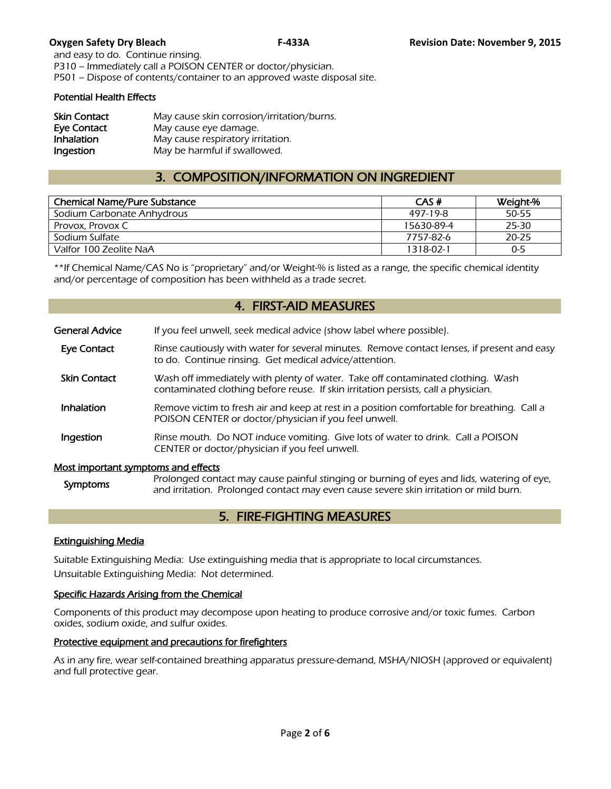and easy to do. Continue rinsing. P310 – Immediately call a POISON CENTER or doctor/physician. P501 – Dispose of contents/container to an approved waste disposal site.

# Potential Health Effects

| <b>Skin Contact</b> | May cause skin corrosion/irritation/burns. |
|---------------------|--------------------------------------------|
| Eye Contact         | May cause eye damage.                      |
| Inhalation          | May cause respiratory irritation.          |
| Ingestion           | May be harmful if swallowed.               |

# 3. COMPOSITION/INFORMATION ON INGREDIENT

| <b>Chemical Name/Pure Substance</b> | CAS#       | Weight-% |
|-------------------------------------|------------|----------|
| Sodium Carbonate Anhydrous          | 497-19-8   | 50-55    |
| Provox, Provox C                    | 15630-89-4 | 25-30    |
| Sodium Sulfate                      | 7757-82-6  | 20-25    |
| Valfor 100 Zeolite NaA              | 1318-02-1  | $0 - 5$  |
|                                     |            |          |

\*\*If Chemical Name/CAS No is "proprietary" and/or Weight-% is listed as a range, the specific chemical identity and/or percentage of composition has been withheld as a trade secret.

# 4. FIRST-AID MEASURES

| <b>General Advice</b>               | If you feel unwell, seek medical advice (show label where possible).                                                                                                  |
|-------------------------------------|-----------------------------------------------------------------------------------------------------------------------------------------------------------------------|
| Eye Contact                         | Rinse cautiously with water for several minutes. Remove contact lenses, if present and easy<br>to do. Continue rinsing. Get medical advice/attention.                 |
| <b>Skin Contact</b>                 | Wash off immediately with plenty of water. Take off contaminated clothing. Wash<br>contaminated clothing before reuse. If skin irritation persists, call a physician. |
| Inhalation                          | Remove victim to fresh air and keep at rest in a position comfortable for breathing. Call a<br>POISON CENTER or doctor/physician if you feel unwell.                  |
| Ingestion                           | Rinse mouth. Do NOT induce vomiting. Give lots of water to drink. Call a POISON<br>CENTER or doctor/physician if you feel unwell.                                     |
| Most important symptoms and effects | $R_{\rm FQ}$                                                                                                                                                          |

Symptoms Prolonged contact may cause painful stinging or burning of eyes and lids, watering of eye,<br>Symptoms and irritation. Prolonged contact may over cause covere clin irritation or mild burn and irritation. Prolonged contact may even cause severe skin irritation or mild burn.

# 5. FIRE-FIGHTING MEASURES

# Extinguishing Media

Suitable Extinguishing Media: Use extinguishing media that is appropriate to local circumstances. Unsuitable Extinguishing Media: Not determined.

# Specific Hazards Arising from the Chemical

Components of this product may decompose upon heating to produce corrosive and/or toxic fumes. Carbon oxides, sodium oxide, and sulfur oxides.

# Protective equipment and precautions for firefighters

As in any fire, wear self-contained breathing apparatus pressure-demand, MSHA/NIOSH (approved or equivalent) and full protective gear.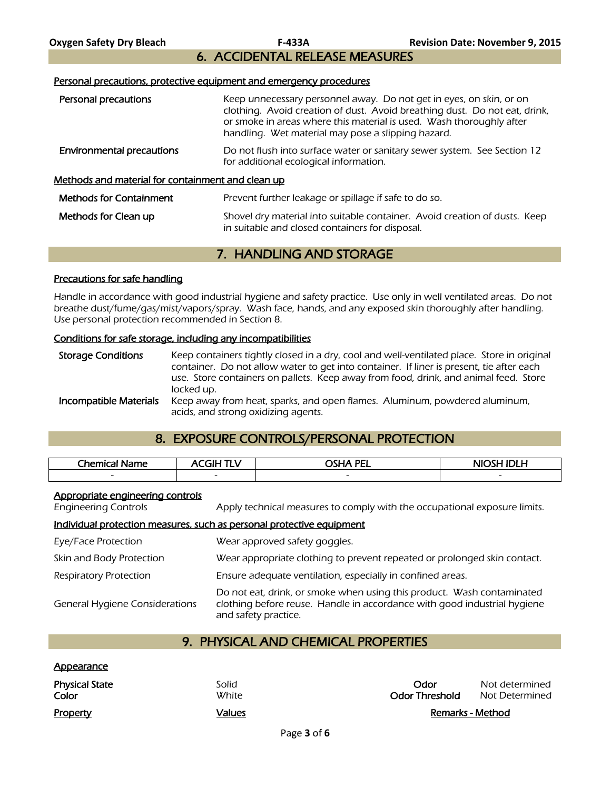6. ACCIDENTAL RELEASE MEASURES

### Personal precautions, protective equipment and emergency procedures

| Personal precautions                                     | Keep unnecessary personnel away. Do not get in eyes, on skin, or on<br>clothing. Avoid creation of dust. Avoid breathing dust. Do not eat, drink,<br>or smoke in areas where this material is used. Wash thoroughly after<br>handling. Wet material may pose a slipping hazard. |
|----------------------------------------------------------|---------------------------------------------------------------------------------------------------------------------------------------------------------------------------------------------------------------------------------------------------------------------------------|
| <b>Environmental precautions</b>                         | Do not flush into surface water or sanitary sewer system. See Section 12<br>for additional ecological information.                                                                                                                                                              |
| <u>Methods and material for containment and clean up</u> |                                                                                                                                                                                                                                                                                 |
| <b>Methods for Containment</b>                           | Prevent further leakage or spillage if safe to do so.                                                                                                                                                                                                                           |
| Methods for Clean up                                     | Shovel dry material into suitable container. Avoid creation of dusts. Keep<br>in suitable and closed containers for disposal.                                                                                                                                                   |

# 7. HANDLING AND STORAGE

### Precautions for safe handling

Handle in accordance with good industrial hygiene and safety practice. Use only in well ventilated areas. Do not breathe dust/fume/gas/mist/vapors/spray. Wash face, hands, and any exposed skin thoroughly after handling. Use personal protection recommended in Section 8.

#### Conditions for safe storage, including any incompatibilities

Storage Conditions Keep containers tightly closed in a dry, cool and well-ventilated place. Store in original container. Do not allow water to get into container. If liner is present, tie after each use. Store containers on pallets. Keep away from food, drink, and animal feed. Store locked up. **Incompatible Materials** Keep away from heat, sparks, and open flames. Aluminum, powdered aluminum, acids, and strong oxidizing agents.

# 8. EXPOSURE CONTROLS/PERSONAL PROTECTION

| Chemical Name            | FІН                      | PEL<br><b>SHA</b>        | <b>NIOSH IDLH</b> |
|--------------------------|--------------------------|--------------------------|-------------------|
| $\overline{\phantom{0}}$ | $\overline{\phantom{0}}$ | $\overline{\phantom{0}}$ | $\sim$            |
|                          |                          |                          |                   |

#### Appropriate engineering controls

Appearance

Engineering Controls Apply technical measures to comply with the occupational exposure limits.

#### Individual protection measures, such as personal protective equipment

| Eye/Face Protection                   | Wear approved safety goggles.                                                                                                                                              |
|---------------------------------------|----------------------------------------------------------------------------------------------------------------------------------------------------------------------------|
| Skin and Body Protection              | Wear appropriate clothing to prevent repeated or prolonged skin contact.                                                                                                   |
| <b>Respiratory Protection</b>         | Ensure adequate ventilation, especially in confined areas.                                                                                                                 |
| <b>General Hygiene Considerations</b> | Do not eat, drink, or smoke when using this product. Wash contaminated<br>clothing before reuse. Handle in accordance with good industrial hygiene<br>and safety practice. |

# 9. PHYSICAL AND CHEMICAL PROPERTIES

| <b>Property</b>                | Values         | Remarks - Method              |                                  |
|--------------------------------|----------------|-------------------------------|----------------------------------|
| <b>Physical State</b><br>Color | Solid<br>White | Odor<br><b>Odor Threshold</b> | Not determined<br>Not Determined |
| <u>Appearance</u>              |                |                               |                                  |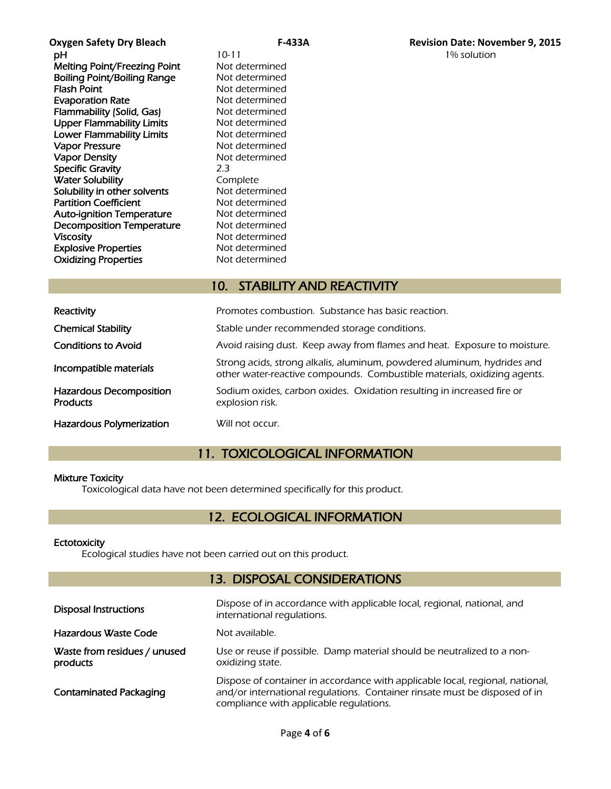**pH** 10-11 10-11 1% solution Melting Point/Freezing Point Not determined **Boiling Point/Boiling Range Not determined<br>Flash Point Communisty Range Mot determined Evaporation Rate** Not determined Flammability (Solid, Gas) Not determined Upper Flammability Limits Not determined Lower Flammability Limits Not determined Vapor Pressure Not determined Vapor Density Not determined Specific Gravity 2.3 **Water Solubility Complete**<br> **Solubility in other solvents** Not determined Solubility in other solvents Partition Coefficient Not determined Auto-ignition Temperature Mot determined Decomposition Temperature Not determined Viscosity<br>
Explosive Properties<br>
Explosive Properties<br>
Not determined **Explosive Properties** Oxidizing Properties Not determined

Not determined

# 10. STABILITY AND REACTIVITY

| Reactivity                                 | Promotes combustion. Substance has basic reaction.                                                                                                  |
|--------------------------------------------|-----------------------------------------------------------------------------------------------------------------------------------------------------|
| <b>Chemical Stability</b>                  | Stable under recommended storage conditions.                                                                                                        |
| <b>Conditions to Avoid</b>                 | Avoid raising dust. Keep away from flames and heat. Exposure to moisture.                                                                           |
| Incompatible materials                     | Strong acids, strong alkalis, aluminum, powdered aluminum, hydrides and<br>other water-reactive compounds. Combustible materials, oxidizing agents. |
| Hazardous Decomposition<br><b>Products</b> | Sodium oxides, carbon oxides. Oxidation resulting in increased fire or<br>explosion risk.                                                           |
| <b>Hazardous Polymerization</b>            | Will not occur.                                                                                                                                     |

# 11. TOXICOLOGICAL INFORMATION

# Mixture Toxicity

Toxicological data have not been determined specifically for this product.

# 12. ECOLOGICAL INFORMATION

# **Ectotoxicity**

Ecological studies have not been carried out on this product.

# 13. DISPOSAL CONSIDERATIONS

| <b>Disposal Instructions</b>             | Dispose of in accordance with applicable local, regional, national, and<br>international regulations.                                                                                                  |
|------------------------------------------|--------------------------------------------------------------------------------------------------------------------------------------------------------------------------------------------------------|
| Hazardous Waste Code                     | Not available.                                                                                                                                                                                         |
| Waste from residues / unused<br>products | Use or reuse if possible. Damp material should be neutralized to a non-<br>oxidizing state.                                                                                                            |
| <b>Contaminated Packaging</b>            | Dispose of container in accordance with applicable local, regional, national,<br>and/or international regulations. Container rinsate must be disposed of in<br>compliance with applicable regulations. |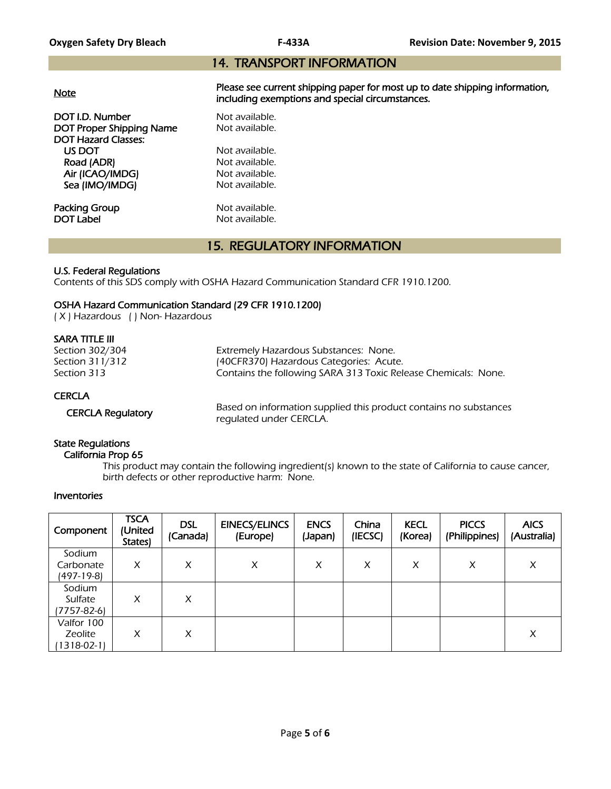# 14. TRANSPORT INFORMATION

|--|

Please see current shipping paper for most up to date shipping information, including exemptions and special circumstances.

DOT I.D. Number Not available. DOT Proper Shipping Name Not available. DOT Hazard Classes: US DOT Not available.<br>
Road (ADR) Not available. Road (ADR) Air (ICAO/IMDG) Not available. Sea (IMO/IMDG) Not available.

**Packing Group Not available.**<br> **DOT Label Not available.** 

Not available.

# 15. REGULATORY INFORMATION

# U.S. Federal Regulations

Contents of this SDS comply with OSHA Hazard Communication Standard CFR 1910.1200.

# OSHA Hazard Communication Standard (29 CFR 1910.1200)

( X ) Hazardous ( ) Non- Hazardous

# SARA TITLE III

| Section 302/304 | Extremely Hazardous Substances: None.                          |
|-----------------|----------------------------------------------------------------|
| Section 311/312 | (40CFR370) Hazardous Categories: Acute.                        |
| Section 313     | Contains the following SARA 313 Toxic Release Chemicals: None. |
| <b>CERCLA</b>   |                                                                |

 CERCLA Regulatory Based on information supplied this product contains no substances regulated under CERCLA.

# State Regulations

### California Prop 65

 This product may contain the following ingredient(s) known to the state of California to cause cancer, birth defects or other reproductive harm: None.

# Inventories

| Component                                | <b>TSCA</b><br>(United<br>States) | <b>DSL</b><br>(Canada) | <b>EINECS/ELINCS</b><br>(Europe) | <b>ENCS</b><br>(Japan) | China<br>(IECSC) | <b>KECL</b><br>(Korea) | <b>PICCS</b><br>(Philippines) | <b>AICS</b><br>(Australia) |
|------------------------------------------|-----------------------------------|------------------------|----------------------------------|------------------------|------------------|------------------------|-------------------------------|----------------------------|
| Sodium<br>Carbonate<br>(497-19-8)        | X                                 | X                      | X                                | X                      | X                | X                      | X                             | X                          |
| Sodium<br>Sulfate<br>(7757-82-6)         | X                                 | X                      |                                  |                        |                  |                        |                               |                            |
| Valfor 100<br>Zeolite<br>$1318 - 02 - 1$ | X                                 | X                      |                                  |                        |                  |                        |                               | X                          |